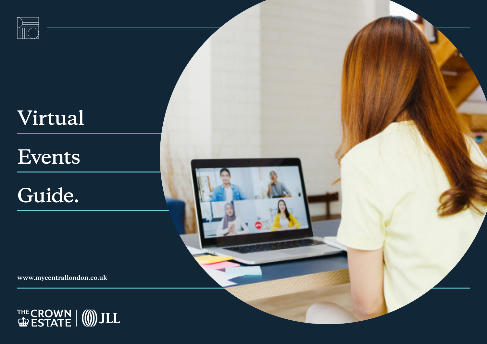

# **Virtual**

## **Events**

# **Guide.**

**www.mycentrallondon.co.uk**

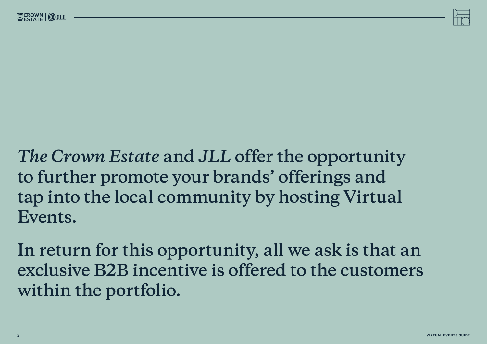

*The Crown Estate* **and** *JLL* **offer the opportunity to further promote your brands' offerings and tap into the local community by hosting Virtual Events.** 

**In return for this opportunity, all we ask is that an exclusive B2B incentive is offered to the customers within the portfolio.**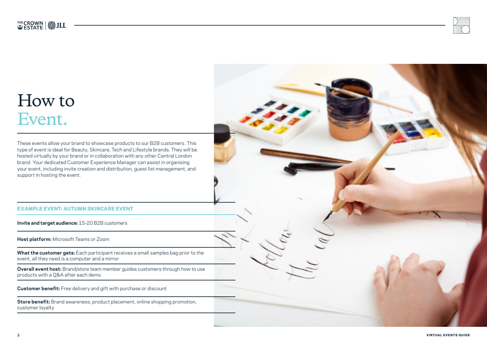

### How to Event.

These events allow your brand to showcase products to our B2B customers. This type of event is ideal for Beauty, Skincare, Tech and Lifestyle brands. They will be hosted virtually by your brand or in collaboration with any other Central London brand. Your dedicated Customer Experience Manager can assist in organising your event, including invite creation and distribution, guest list management, and support in hosting the event.

#### EXAMPLE EVENT: AUTUMN SKINCARE EVENT

**Invite and target audience:** 15-20 B2B customers

**Host platform:** Microsoft Teams or Zoom

**What the customer gets:** Each participant receives a small samples bag prior to the event, all they need is a computer and a mirror

**Overall event host:** Brand/store team member guides customers through how to use products with a Q&A after each demo

**Customer benefit:** Free delivery and gift with purchase or discount

**Store benefit:** Brand awareness, product placement, online shopping promotion, customer loyalty

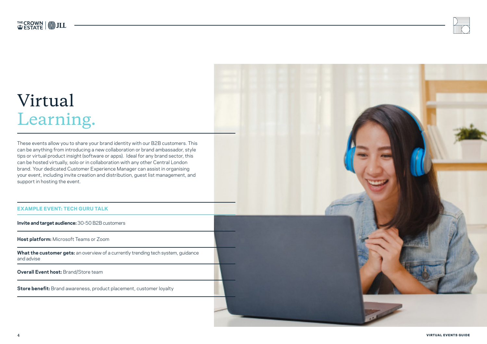

### Virtual Learning.

These events allow you to share your brand identity with our B2B customers. This can be anything from introducing a new collaboration or brand ambassador, style tips or virtual product insight (software or apps). Ideal for any brand sector, this can be hosted virtually, solo or in collaboration with any other Central London brand. Your dedicated Customer Experience Manager can assist in organising your event, including invite creation and distribution, guest list management, and support in hosting the event.

#### EXAMPLE EVENT: TECH GURU TALK

**Invite and target audience:** 30-50 B2B customers

**Host platform:** Microsoft Teams or Zoom

**What the customer gets:** an overview of a currently trending tech system, guidance and advise

**Overall Event host:** Brand/Store team

**Store benefit:** Brand awareness, product placement, customer loyalty

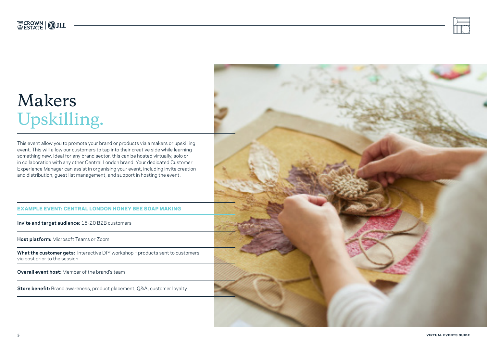### Makers Upskilling.

This event allow you to promote your brand or products via a makers or upskilling event. This will allow our customers to tap into their creative side while learning something new. Ideal for any brand sector, this can be hosted virtually, solo or in collaboration with any other Central London brand. Your dedicated Customer Experience Manager can assist in organising your event, including invite creation and distribution, guest list management, and support in hosting the event.

#### EXAMPLE EVENT: CENTRAL LONDON HONEY BEE SOAP MAKING

**Invite and target audience:** 15-20 B2B customers

**Host platform:** Microsoft Teams or Zoom

**What the customer gets:** Interactive DIY workshop – products sent to customers via post prior to the session

**Overall event host:** Member of the brand's team

**Store benefit:** Brand awareness, product placement, Q&A, customer loyalty

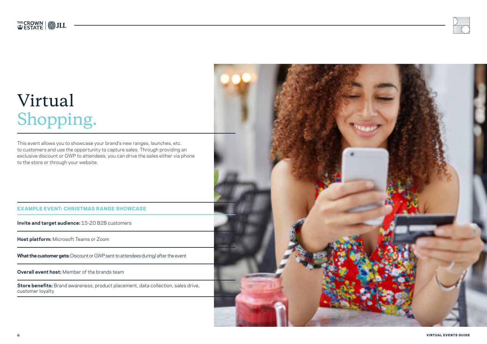

## Virtual Shopping.

This event allows you to showcase your brand's new ranges, launches, etc. to customers and use the opportunity to capture sales. Through providing an exclusive discount or GWP to attendees, you can drive the sales either via phone to the store or through your website.

#### EXAMPLE EVENT: CHRISTMAS RANGE SHOWCASE

**Invite and target audience:** 15-20 B2B customers

**Host platform:** Microsoft Teams or Zoom

**What the customer gets:** Discount or GWP sent to attendees during/ after the event

**Overall event host:** Member of the brands team

**Store benefits:** Brand awareness, product placement, data collection, sales drive, customer loyalty

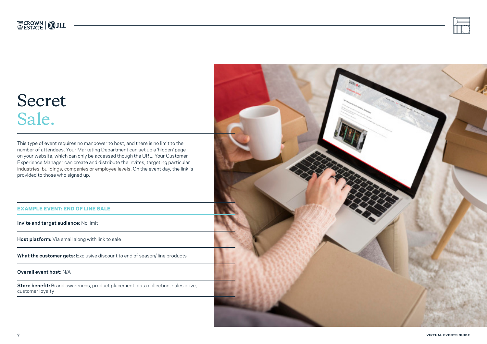### Secret Sale.

This type of event requires no manpower to host, and there is no limit to the number of attendees. Your Marketing Department can set up a 'hidden' page on your website, which can only be accessed though the URL. Your Customer Experience Manager can create and distribute the invites, targeting particular industries, buildings, companies or employee levels. On the event day, the link is provided to those who signed up.

#### EXAMPLE EVENT: END OF LINE SALE

**Invite and target audience:** No limit

**Host platform:** Via email along with link to sale

**What the customer gets:** Exclusive discount to end of season/ line products

**Overall event host:** N/A

**Store benefit:** Brand awareness, product placement, data collection, sales drive, customer loyalty

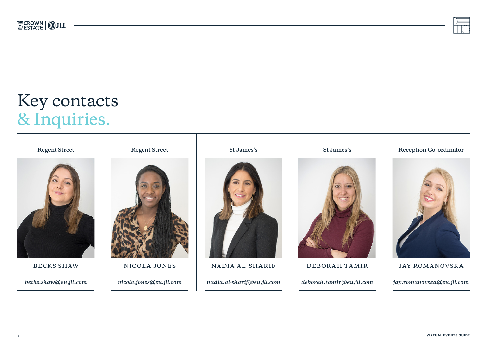

### Key contacts & Inquiries.









**Regent Street Regent Street Regent Street St James's St James's Reception Co-ordinator Reception Co-ordinator** 



BECKS SHAW **NICOLA JONES** NADIA AL-SHARIF DEBORAH TAMIR JAY ROMANOVSKA

*becks.shaw@eu.jll.com nicola.jones@eu.jll.com nadia.al-sharif@eu.jll.com deborah.tamir@eu.jll.com jay.romanovska@eu.jll.com*